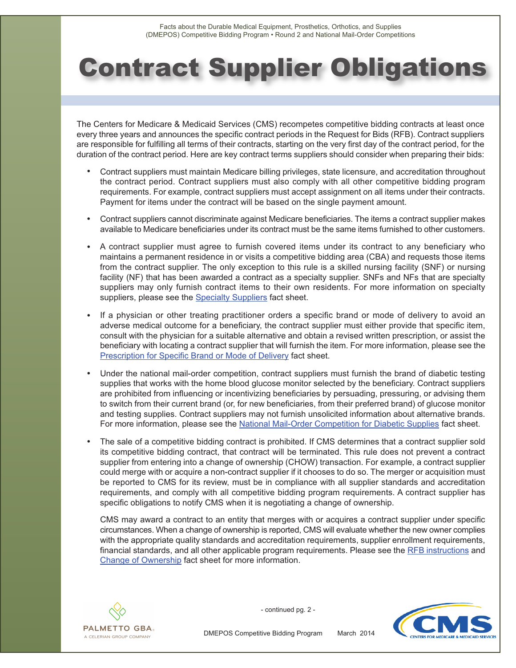## Contract Supplier Obligations

The Centers for Medicare & Medicaid Services (CMS) recompetes competitive bidding contracts at least once every three years and announces the specific contract periods in the Request for Bids (RFB). Contract suppliers are responsible for fulfilling all terms of their contracts, starting on the very first day of the contract period, for the duration of the contract period. Here are key contract terms suppliers should consider when preparing their bids:

- Contract suppliers must maintain Medicare billing privileges, state licensure, and accreditation throughout the contract period. Contract suppliers must also comply with all other competitive bidding program requirements. For example, contract suppliers must accept assignment on all items under their contracts. Payment for items under the contract will be based on the single payment amount.
- • Contract suppliers cannot discriminate against Medicare beneficiaries. The items a contract supplier makes available to Medicare beneficiaries under its contract must be the same items furnished to other customers.
- A contract supplier must agree to furnish covered items under its contract to any beneficiary who maintains a permanent residence in or visits a competitive bidding area (CBA) and requests those items from the contract supplier. The only exception to this rule is a skilled nursing facility (SNF) or nursing facility (NF) that has been awarded a contract as a specialty supplier. SNFs and NFs that are specialty suppliers may only furnish contract items to their own residents. For more information on specialty suppliers, please see the [Specialty Suppliers](http://www.dmecompetitivebid.com/Palmetto/Cbic.nsf/files/R2_Fact_Sheet_SNFs_and_NFs.pdf/$FIle/R2_Fact_Sheet_SNFs_and_NFs.pdf) fact sheet.
- If a physician or other treating practitioner orders a specific brand or mode of delivery to avoid an adverse medical outcome for a beneficiary, the contract supplier must either provide that specific item, consult with the physician for a suitable alternative and obtain a revised written prescription, or assist the beneficiary with locating a contract supplier that will furnish the item. For more information, please see the [Prescription for Specific Brand or Mode of Delivery](http://www.dmecompetitivebid.com/Palmetto/Cbic.nsf/files/R2_Fact_Sheet_Prescription_for_Specific_Brand.pdf/$FIle/R2_Fact_Sheet_Prescription_for_Specific_Brand.pdf) fact sheet.
- Under the national mail-order competition, contract suppliers must furnish the brand of diabetic testing supplies that works with the home blood glucose monitor selected by the beneficiary. Contract suppliers are prohibited from influencing or incentivizing beneficiaries by persuading, pressuring, or advising them to switch from their current brand (or, for new beneficiaries, from their preferred brand) of glucose monitor and testing supplies. Contract suppliers may not furnish unsolicited information about alternative brands. For more information, please see th[e National Mail-Order Competition for Diabetic Supplies](http://www.dmecompetitivebid.com/Palmetto/Cbic.nsf/files/R2_Fact_Sheet_Mail-Order_Diabetic_Supplies.pdf/$FIle/R2_Fact_Sheet_Mail-Order_Diabetic_Supplies.pdf) fact sheet.
- The sale of a competitive bidding contract is prohibited. If CMS determines that a contract supplier sold its competitive bidding contract, that contract will be terminated. This rule does not prevent a contract supplier from entering into a change of ownership (CHOW) transaction. For example, a contract supplier could merge with or acquire a non-contract supplier if it chooses to do so. The merger or acquisition must be reported to CMS for its review, must be in compliance with all supplier standards and accreditation requirements, and comply with all competitive bidding program requirements. A contract supplier has specific obligations to notify CMS when it is negotiating a change of ownership.

CMS may award a contract to an entity that merges with or acquires a contract supplier under specific circumstances. When a change of ownership is reported, CMS will evaluate whether the new owner complies with the appropriate quality standards and accreditation requirements, supplier enrollment requirements, financial standards, and all other applicable program requirements. Please see the [RFB instructions](http://www.dmecompetitivebid.com/Palmetto/cbicrd2.nsf/files/R2_RFB.pdf/$File/R2_RFB.pdf) and [Change of Ownership](http://www.dmecompetitivebid.com/Palmetto/Cbicrd2.Nsf/files/R2_Fact_Sheet_CHOW.pdf/$File/R2_Fact_Sheet_CHOW.pdf) fact sheet for more information.



- continued pg. 2 -



DMEPOS Competitive Bidding Program March 2014